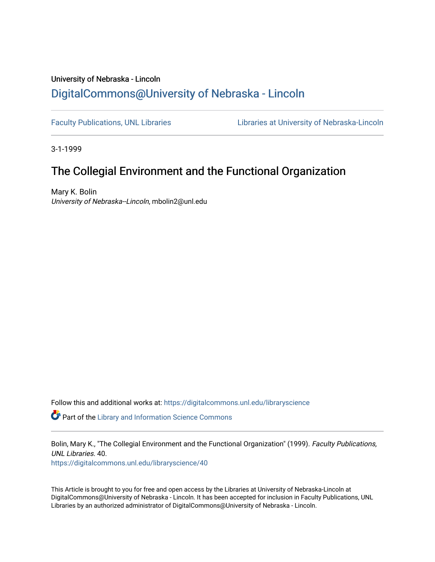# University of Nebraska - Lincoln [DigitalCommons@University of Nebraska - Lincoln](https://digitalcommons.unl.edu/)

[Faculty Publications, UNL Libraries](https://digitalcommons.unl.edu/libraryscience) Libraries Libraries at University of Nebraska-Lincoln

3-1-1999

# The Collegial Environment and the Functional Organization

Mary K. Bolin University of Nebraska--Lincoln, mbolin2@unl.edu

Follow this and additional works at: [https://digitalcommons.unl.edu/libraryscience](https://digitalcommons.unl.edu/libraryscience?utm_source=digitalcommons.unl.edu%2Flibraryscience%2F40&utm_medium=PDF&utm_campaign=PDFCoverPages)

**C** Part of the Library and Information Science Commons

Bolin, Mary K., "The Collegial Environment and the Functional Organization" (1999). Faculty Publications, UNL Libraries. 40.

[https://digitalcommons.unl.edu/libraryscience/40](https://digitalcommons.unl.edu/libraryscience/40?utm_source=digitalcommons.unl.edu%2Flibraryscience%2F40&utm_medium=PDF&utm_campaign=PDFCoverPages) 

This Article is brought to you for free and open access by the Libraries at University of Nebraska-Lincoln at DigitalCommons@University of Nebraska - Lincoln. It has been accepted for inclusion in Faculty Publications, UNL Libraries by an authorized administrator of DigitalCommons@University of Nebraska - Lincoln.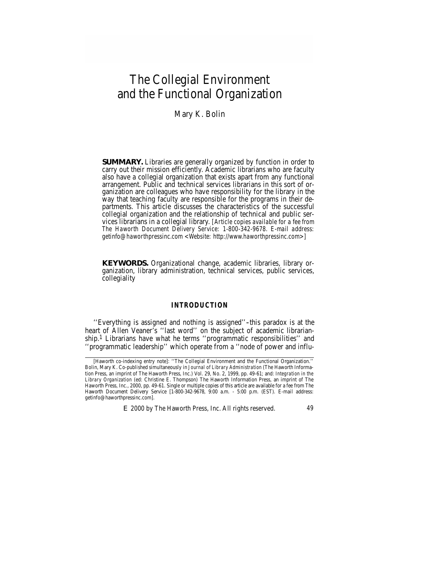# The Collegial Environment and the Functional Organization

# Mary K. Bolin

**SUMMARY.** Libraries are generally organized by function in order to carry out their mission efficiently. Academic librarians who are faculty also have a collegial organization that exists apart from any functional arrangement. Public and technical services librarians in this sort of organization are colleagues who have responsibility for the library in the way that teaching faculty are responsible for the programs in their departments. This article discusses the characteristics of the successful collegial organization and the relationship of technical and public services librarians in a collegial library. *[Article copies available for a fee from The Haworth Document Delivery Service: 1-800-342-9678. E-mail address: getinfo@haworthpressinc.com <Website: [http://www.haworthpressinc.com>](http://www.haworthpressinc.com)]*

**KEYWORDS.** Organizational change, academic libraries, library organization, library administration, technical services, public services, collegiality

#### *INTRODUCTION*

"Everything is assigned and nothing is assigned"-this paradox is at the heart of Allen Veaner's "last word" on the subject of academic librarianship.<sup>1</sup> Librarians have what he terms "programmatic responsibilities" and ''programmatic leadership'' which operate from a ''node of power and influ-

E 2000 by The Haworth Press, Inc. All rights reserved. *49*

<sup>[</sup>Haworth co-indexing entry note]: ''The Collegial Environment and the Functional Organization.'' Bolin, Mary K. Co-published simultaneously in *Journal of Library Administration* (The Haworth Information Press, an imprint of The Haworth Press, Inc.) Vol. 29, No. 2, 1999, pp. 49-61; and: *Integration in the Library Organization* (ed: Christine E. Thompson) The Haworth Information Press, an imprint of The Haworth Press, Inc., 2000, pp. 49-61. Single or multiple copies of this article are available for a fee from The Haworth Document Delivery Service [1-800-342-9678, 9:00 a.m. - 5:00 p.m. (EST). E-mail address: getinfo@haworthpressinc.com].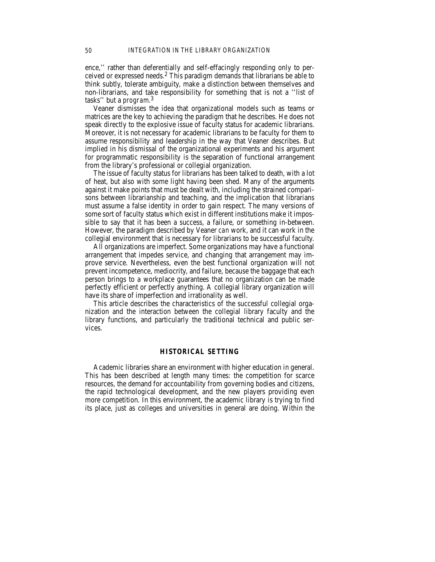ence,'' rather than deferentially and self-effacingly responding only to perceived or expressed needs.2 This paradigm demands that librarians be able to think subtly, tolerate ambiguity, make a distinction between themselves and non-librarians, and take responsibility for something that is not a ''list of tasks'' but a *program*. 3

Veaner dismisses the idea that organizational models such as teams or matrices are the key to achieving the paradigm that he describes. He does not speak directly to the explosive issue of faculty status for academic librarians. Moreover, it is not necessary for academic librarians to be faculty for them to assume responsibility and leadership in the way that Veaner describes. But implied in his dismissal of the organizational experiments and his argument for programmatic responsibility is the separation of functional arrangement from the library's professional or collegial organization.

The issue of faculty status for librarians has been talked to death, with a lot of heat, but also with some light having been shed. Many of the arguments against it make points that must be dealt with, including the strained comparisons between librarianship and teaching, and the implication that librarians must assume a false identity in order to gain respect. The many versions of some sort of faculty status which exist in different institutions make it impossible to say that it has been a success, a failure, or something in-between. However, the paradigm described by Veaner *can* work, and it can work in the collegial environment that is necessary for librarians to be successful faculty.

All organizations are imperfect. Some organizations may have a functional arrangement that impedes service, and changing that arrangement may improve service. Nevertheless, even the best functional organization will not prevent incompetence, mediocrity, and failure, because the baggage that each person brings to a workplace guarantees that no organization can be made perfectly efficient or perfectly anything. A collegial library organization will have its share of imperfection and irrationality as well.

This article describes the characteristics of the successful collegial organization and the interaction between the collegial library faculty and the library functions, and particularly the traditional technical and public services.

### *HISTORICAL SETTING*

Academic libraries share an environment with higher education in general. This has been described at length many times: the competition for scarce resources, the demand for accountability from governing bodies and citizens, the rapid technological development, and the new players providing even more competition. In this environment, the academic library is trying to find its place, just as colleges and universities in general are doing. Within the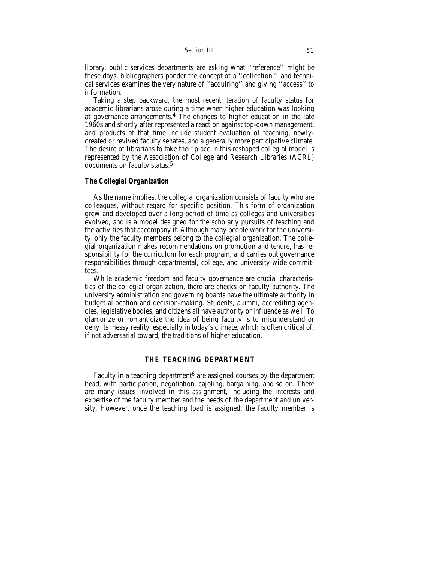library, public services departments are asking what ''reference'' might be these days, bibliographers ponder the concept of a ''collection,'' and technical services examines the very nature of ''acquiring'' and giving ''access'' to information.

Taking a step backward, the most recent iteration of faculty status for academic librarians arose during a time when higher education was looking at governance arrangements.<sup>4</sup> The changes to higher education in the late 1960s and shortly after represented a reaction against top-down management, and products of that time include student evaluation of teaching, newlycreated or revived faculty senates, and a generally more participative climate. The desire of librarians to take their place in this reshaped collegial model is represented by the Association of College and Research Libraries (ACRL) documents on faculty status.<sup>5</sup>

#### *The Collegial Organization*

As the name implies, the collegial organization consists of faculty who are colleagues, without regard for specific position. This form of organization grew and developed over a long period of time as colleges and universities evolved, and is a model designed for the scholarly pursuits of teaching and the activities that accompany it. Although many people work for the university, only the faculty members belong to the collegial organization. The collegial organization makes recommendations on promotion and tenure, has responsibility for the curriculum for each program, and carries out governance responsibilities through departmental, college, and university-wide committees.

While academic freedom and faculty governance are crucial characteristics of the collegial organization, there are checks on faculty authority. The university administration and governing boards have the ultimate authority in budget allocation and decision-making. Students, alumni, accrediting agencies, legislative bodies, and citizens all have authority or influence as well. To glamorize or romanticize the idea of being faculty is to misunderstand or deny its messy reality, especially in today's climate, which is often critical of, if not adversarial toward, the traditions of higher education.

#### *THE TEACHING DEPARTMENT*

Faculty in a teaching department $6$  are assigned courses by the department head, with participation, negotiation, cajoling, bargaining, and so on. There are many issues involved in this assignment, including the interests and expertise of the faculty member and the needs of the department and university. However, once the teaching load is assigned, the faculty member is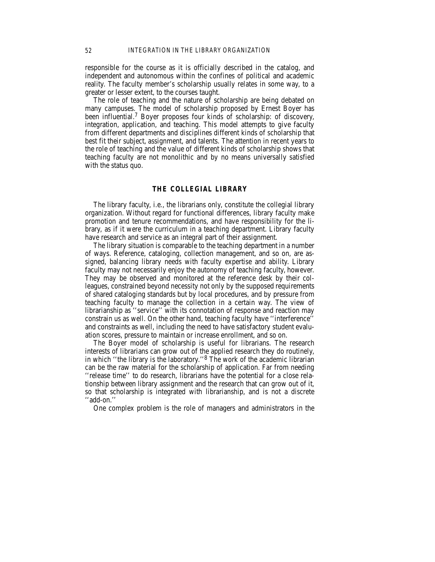responsible for the course as it is officially described in the catalog, and independent and autonomous within the confines of political and academic reality. The faculty member's scholarship usually relates in some way, to a greater or lesser extent, to the courses taught.

The role of teaching and the nature of scholarship are being debated on many campuses. The model of scholarship proposed by Ernest Boyer has been influential.7 Boyer proposes four kinds of scholarship: of discovery, integration, application, and teaching. This model attempts to give faculty from different departments and disciplines different kinds of scholarship that best fit their subject, assignment, and talents. The attention in recent years to the role of teaching and the value of different kinds of scholarship shows that teaching faculty are not monolithic and by no means universally satisfied with the status quo.

### *THE COLLEGIAL LIBRARY*

The library faculty, i.e., the librarians only, constitute the collegial library organization. Without regard for functional differences, library faculty make promotion and tenure recommendations, and have responsibility for the library, as if it were the curriculum in a teaching department. Library faculty have research and service as an integral part of their assignment.

The library situation is comparable to the teaching department in a number of ways. Reference, cataloging, collection management, and so on, are assigned, balancing library needs with faculty expertise and ability. Library faculty may not necessarily enjoy the autonomy of teaching faculty, however. They may be observed and monitored at the reference desk by their colleagues, constrained beyond necessity not only by the supposed requirements of shared cataloging standards but by local procedures, and by pressure from teaching faculty to manage the collection in a certain way. The view of librarianship as ''service'' with its connotation of response and reaction may constrain us as well. On the other hand, teaching faculty have ''interference'' and constraints as well, including the need to have satisfactory student evaluation scores, pressure to maintain or increase enrollment, and so on.

The Boyer model of scholarship is useful for librarians. The research interests of librarians can grow out of the applied research they do routinely, in which ''the library is the laboratory.''8 The work of the academic librarian can be the raw material for the scholarship of application. Far from needing ''release time'' to do research, librarians have the potential for a close relationship between library assignment and the research that can grow out of it, so that scholarship is integrated with librarianship, and is not a discrete ''add-on.''

One complex problem is the role of managers and administrators in the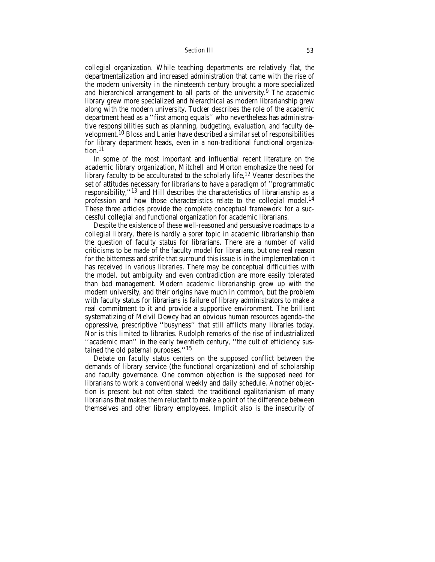#### *Section III 53*

collegial organization. While teaching departments are relatively flat, the departmentalization and increased administration that came with the rise of the modern university in the nineteenth century brought a more specialized and hierarchical arrangement to all parts of the university.<sup>9</sup> The academic library grew more specialized and hierarchical as modern librarianship grew along with the modern university. Tucker describes the role of the academic department head as a ''first among equals'' who nevertheless has administrative responsibilities such as planning, budgeting, evaluation, and faculty development.10 Bloss and Lanier have described a similar set of responsibilities for library department heads, even in a non-traditional functional organiza $t$ <sub>ion</sub> $11$ 

In some of the most important and influential recent literature on the academic library organization, Mitchell and Morton emphasize the need for library faculty to be acculturated to the scholarly life,<sup>12</sup> Veaner describes the set of attitudes necessary for librarians to have a paradigm of ''programmatic responsibility,"<sup>13</sup> and Hill describes the characteristics of librarianship as a profession and how those characteristics relate to the collegial model.<sup>14</sup> These three articles provide the complete conceptual framework for a successful collegial and functional organization for academic librarians.

Despite the existence of these well-reasoned and persuasive roadmaps to a collegial library, there is hardly a sorer topic in academic librarianship than the question of faculty status for librarians. There are a number of valid criticisms to be made of the faculty model for librarians, but one real reason for the bitterness and strife that surround this issue is in the implementation it has received in various libraries. There may be conceptual difficulties with the model, but ambiguity and even contradiction are more easily tolerated than bad management. Modern academic librarianship grew up with the modern university, and their origins have much in common, but the problem with faculty status for librarians is failure of library administrators to make a real commitment to it and provide a supportive environment. The brilliant systematizing of Melvil Dewey had an obvious human resources agenda-the oppressive, prescriptive ''busyness'' that still afflicts many libraries today. Nor is this limited to libraries. Rudolph remarks of the rise of industrialized ''academic man'' in the early twentieth century, ''the cult of efficiency sustained the old paternal purposes.''15

Debate on faculty status centers on the supposed conflict between the demands of library service (the functional organization) and of scholarship and faculty governance. One common objection is the supposed need for librarians to work a conventional weekly and daily schedule. Another objection is present but not often stated: the traditional egalitarianism of many librarians that makes them reluctant to make a point of the difference between themselves and other library employees. Implicit also is the insecurity of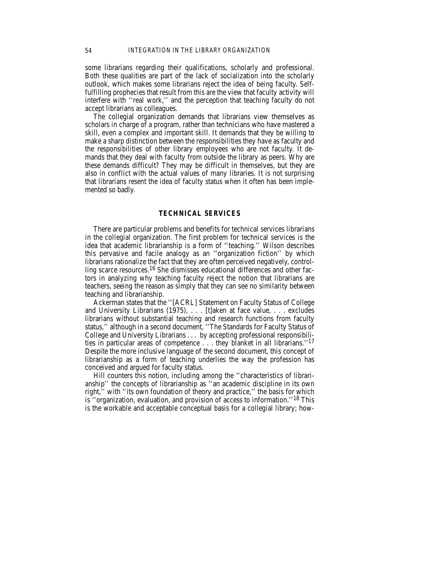some librarians regarding their qualifications, scholarly and professional. Both these qualities are part of the lack of socialization into the scholarly outlook, which makes some librarians reject the idea of being faculty. Selffulfilling prophecies that result from this are the view that faculty activity will interfere with "real work," and the perception that teaching faculty do not accept librarians as colleagues.

The collegial organization demands that librarians view themselves as scholars in charge of a program, rather than technicians who have mastered a skill, even a complex and important skill. It demands that they be willing to make a sharp distinction between the responsibilities they have as faculty and the responsibilities of other library employees who are not faculty. It demands that they deal with faculty from outside the library as peers. Why are these demands difficult? They may be difficult in themselves, but they are also in conflict with the actual values of many libraries. It is not surprising that librarians resent the idea of faculty status when it often has been implemented so badly.

#### *TECHNICAL SERVICES*

There are particular problems and benefits for technical services librarians in the collegial organization. The first problem for technical services is the idea that academic librarianship is a form of ''teaching.'' Wilson describes this pervasive and facile analogy as an ''organization fiction'' by which librarians rationalize the fact that they are often perceived negatively, controlling scarce resources.16 She dismisses educational differences and other factors in analyzing why teaching faculty reject the notion that librarians are teachers, seeing the reason as simply that they can see no similarity between teaching and librarianship.

Ackerman states that the ''[ACRL] Statement on Faculty Status of College and University Librarians (1975), . . . [t]aken at face value, . . . excludes librarians without substantial teaching and research functions from faculty status,'' although in a second document, ''The Standards for Faculty Status of College and University Librarians . . . by accepting professional responsibilities in particular areas of competence . . . they blanket in all librarians.''17 Despite the more inclusive language of the second document, this concept of librarianship as a form of teaching underlies the way the profession has conceived and argued for faculty status.

Hill counters this notion, including among the ''characteristics of librarianship'' the concepts of librarianship as ''an academic discipline in its own right,'' with ''its own foundation of theory and practice,'' the basis for which is ''organization, evaluation, and provision of access to information.''18 This is the workable and acceptable conceptual basis for a collegial library; how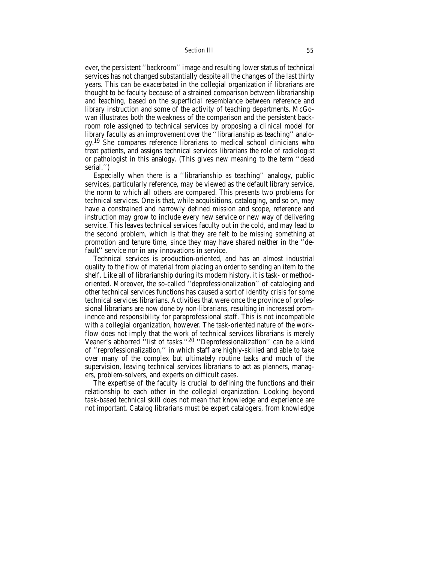ever, the persistent ''backroom'' image and resulting lower status of technical services has not changed substantially despite all the changes of the last thirty years. This can be exacerbated in the collegial organization if librarians are thought to be faculty because of a strained comparison between librarianship and teaching, based on the superficial resemblance between reference and library instruction and some of the activity of teaching departments. McGowan illustrates both the weakness of the comparison and the persistent backroom role assigned to technical services by proposing a clinical model for library faculty as an improvement over the ''librarianship as teaching'' analogy.19 She compares reference librarians to medical school clinicians who treat patients, and assigns technical services librarians the role of radiologist or pathologist in this analogy. (This gives new meaning to the term ''dead serial.'')

Especially when there is a ''librarianship as teaching'' analogy, public services, particularly reference, may be viewed as the default library service, the norm to which all others are compared. This presents two problems for technical services. One is that, while acquisitions, cataloging, and so on, may have a constrained and narrowly defined mission and scope, reference and instruction may grow to include every new service or new way of delivering service. This leaves technical services faculty out in the cold, and may lead to the second problem, which is that they are felt to be missing something at promotion and tenure time, since they may have shared neither in the ''default'' service nor in any innovations in service.

Technical services is production-oriented, and has an almost industrial quality to the flow of material from placing an order to sending an item to the shelf. Like all of librarianship during its modern history, it is task- or methodoriented. Moreover, the so-called ''deprofessionalization'' of cataloging and other technical services functions has caused a sort of identity crisis for some technical services librarians. Activities that were once the province of professional librarians are now done by non-librarians, resulting in increased prominence and responsibility for paraprofessional staff. This is not incompatible with a collegial organization, however. The task-oriented nature of the workflow does not imply that the work of technical services librarians is merely Veaner's abhorred ''list of tasks.''20 ''Deprofessionalization'' can be a kind of ''reprofessionalization,'' in which staff are highly-skilled and able to take over many of the complex but ultimately routine tasks and much of the supervision, leaving technical services librarians to act as planners, managers, problem-solvers, and experts on difficult cases.

The expertise of the faculty is crucial to defining the functions and their relationship to each other in the collegial organization. Looking beyond task-based technical skill does not mean that knowledge and experience are not important. Catalog librarians must be expert catalogers, from knowledge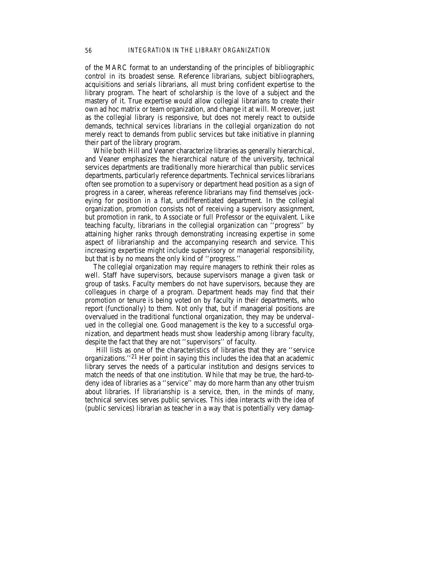of the MARC format to an understanding of the principles of bibliographic control in its broadest sense. Reference librarians, subject bibliographers, acquisitions and serials librarians, all must bring confident expertise to the library program. The heart of scholarship is the love of a subject and the mastery of it. True expertise would allow collegial librarians to create their own ad hoc matrix or team organization, and change it at will. Moreover, just as the collegial library is responsive, but does not merely react to outside demands, technical services librarians in the collegial organization do not merely react to demands from public services but take initiative in planning their part of the library program.

While both Hill and Veaner characterize libraries as generally hierarchical, and Veaner emphasizes the hierarchical nature of the university, technical services departments are traditionally more hierarchical than public services departments, particularly reference departments. Technical services librarians often see promotion to a supervisory or department head position as a sign of progress in a career, whereas reference librarians may find themselves jockeying for position in a flat, undifferentiated department. In the collegial organization, promotion consists not of receiving a supervisory assignment, but promotion in rank, to Associate or full Professor or the equivalent. Like teaching faculty, librarians in the collegial organization can ''progress'' by attaining higher ranks through demonstrating increasing expertise in some aspect of librarianship and the accompanying research and service. This increasing expertise might include supervisory or managerial responsibility, but that is by no means the only kind of ''progress.''

The collegial organization may require managers to rethink their roles as well. Staff have supervisors, because supervisors manage a given task or group of tasks. Faculty members do not have supervisors, because they are colleagues in charge of a program. Department heads may find that their promotion or tenure is being voted on by faculty in their departments, who report (functionally) to them. Not only that, but if managerial positions are overvalued in the traditional functional organization, they may be undervalued in the collegial one. Good management is the key to a successful organization, and department heads must show leadership among library faculty, despite the fact that they are not ''supervisors'' of faculty.

Hill lists as one of the characteristics of libraries that they are ''service organizations.''21 Her point in saying this includes the idea that an academic library serves the needs of a particular institution and designs services to match the needs of that one institution. While that may be true, the hard-todeny idea of libraries as a ''service'' may do more harm than any other truism about libraries. If librarianship is a service, then, in the minds of many, technical services serves public services. This idea interacts with the idea of (public services) librarian as teacher in a way that is potentially very damag-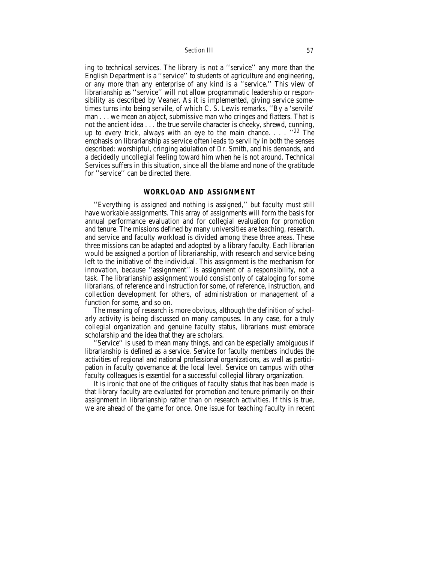#### *Section III 57*

ing to technical services. The library is not a ''service'' any more than the English Department is a ''service'' to students of agriculture and engineering, or any more than any enterprise of any kind is a "service." This view of librarianship as ''service'' will not allow programmatic leadership or responsibility as described by Veaner. As it is implemented, giving service sometimes turns into being *servile*, of which C. S. Lewis remarks, ''By a 'servile' man . . . we mean an abject, submissive man who cringes and flatters. That is not the ancient idea . . . the true servile character is cheeky, shrewd, cunning, up to every trick, always with an eye to the main chance. . . . ''22 The emphasis on librarianship as service often leads to servility in both the senses described: worshipful, cringing adulation of *Dr*. Smith, and his demands, and a decidedly uncollegial feeling toward him when he is not around. Technical Services suffers in this situation, since all the blame and none of the gratitude for ''service'' can be directed there.

# *WORKLOAD AND ASSIGNMENT*

''Everything is assigned and nothing is assigned,'' but faculty must still have workable assignments. This array of assignments will form the basis for annual performance evaluation and for collegial evaluation for promotion and tenure. The missions defined by many universities are teaching, research, and service and faculty workload is divided among these three areas. These three missions can be adapted and adopted by a library faculty. Each librarian would be assigned a portion of librarianship, with research and service being left to the initiative of the individual. This assignment is the mechanism for innovation, because ''assignment'' is assignment of a responsibility, not a task. The librarianship assignment would consist only of cataloging for some librarians, of reference and instruction for some, of reference, instruction, and collection development for others, of administration or management of a function for some, and so on.

The meaning of research is more obvious, although the definition of scholarly activity is being discussed on many campuses. In any case, for a truly collegial organization and genuine faculty status, librarians must embrace scholarship and the idea that they are scholars.

''Service'' is used to mean many things, and can be especially ambiguous if librarianship is defined as a service. Service for faculty members includes the activities of regional and national professional organizations, as well as participation in faculty governance at the local level. Service on campus with other faculty colleagues is essential for a successful collegial library organization.

It is ironic that one of the critiques of faculty status that has been made is that library faculty are evaluated for promotion and tenure primarily on their assignment in librarianship rather than on research activities. If this is true, we are ahead of the game for once. One issue for teaching faculty in recent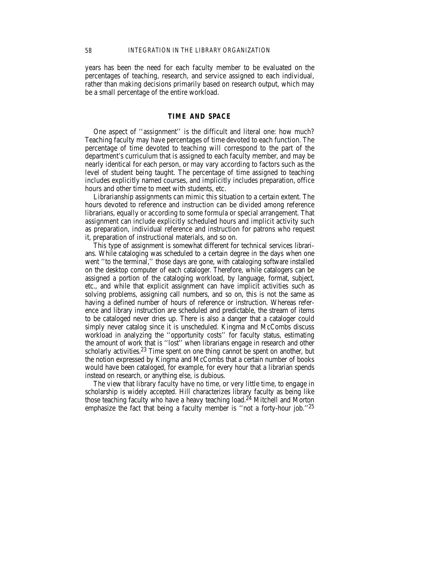years has been the need for each faculty member to be evaluated on the percentages of teaching, research, and service assigned to each individual, rather than making decisions primarily based on research output, which may be a small percentage of the entire workload.

## *TIME AND SPACE*

One aspect of ''assignment'' is the difficult and literal one: how much? Teaching faculty may have percentages of time devoted to each function. The percentage of time devoted to teaching will correspond to the part of the department's curriculum that is assigned to each faculty member, and may be nearly identical for each person, or may vary according to factors such as the level of student being taught. The percentage of time assigned to teaching includes explicitly named courses, and implicitly includes preparation, office hours and other time to meet with students, etc.

Librarianship assignments can mimic this situation to a certain extent. The hours devoted to reference and instruction can be divided among reference librarians, equally or according to some formula or special arrangement. That assignment can include explicitly scheduled hours and implicit activity such as preparation, individual reference and instruction for patrons who request it, preparation of instructional materials, and so on.

This type of assignment is somewhat different for technical services librarians. While cataloging was scheduled to a certain degree in the days when one went ''to the terminal,'' those days are gone, with cataloging software installed on the desktop computer of each cataloger. Therefore, while catalogers can be assigned a portion of the cataloging workload, by language, format, subject, etc., and while that explicit assignment can have implicit activities such as solving problems, assigning call numbers, and so on, this is not the same as having a defined number of hours of reference or instruction. Whereas reference and library instruction are scheduled and predictable, the stream of items to be cataloged never dries up. There is also a danger that a cataloger could simply never catalog since it is unscheduled. Kingma and McCombs discuss workload in analyzing the ''opportunity costs'' for faculty status, estimating the amount of work that is ''lost'' when librarians engage in research and other scholarly activities.<sup>23</sup> Time spent on one thing cannot be spent on another, but the notion expressed by Kingma and McCombs that a certain number of books would have been cataloged, for example, for every hour that a librarian spends instead on research, or anything else, is dubious.

The view that library faculty have no time, or very little time, to engage in scholarship is widely accepted. Hill characterizes library faculty as being like those teaching faculty who have a heavy teaching load.<sup>24</sup> Mitchell and Morton emphasize the fact that being a faculty member is "not a forty-hour job."25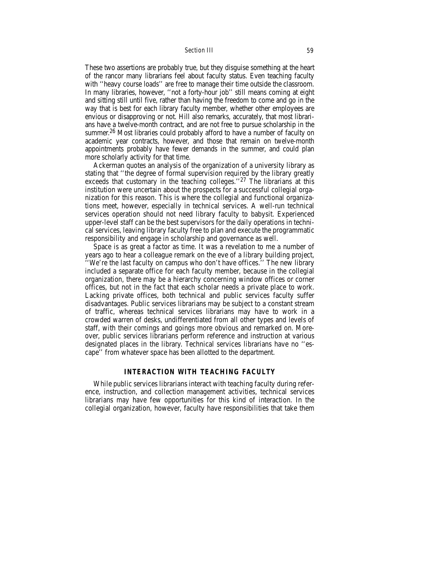#### *Section III 59*

These two assertions are probably true, but they disguise something at the heart of the rancor many librarians feel about faculty status. Even teaching faculty with ''heavy course loads'' are free to manage their time outside the classroom. In many libraries, however, ''not a forty-hour job'' still means coming at eight and sitting still until five, rather than having the freedom to come and go in the way that is best for each library faculty member, whether other employees are envious or disapproving or not. Hill also remarks, accurately, that most librarians have a twelve-month contract, and are not free to pursue scholarship in the summer.<sup>26</sup> Most libraries could probably afford to have a number of faculty on academic year contracts, however, and those that remain on twelve-month appointments probably have fewer demands in the summer, and could plan more scholarly activity for that time.

Ackerman quotes an analysis of the organization of a university library as stating that ''the degree of formal supervision required by the library greatly exceeds that customary in the teaching colleges."<sup>27</sup> The librarians at this institution were uncertain about the prospects for a successful collegial organization for this reason. This is where the collegial and functional organizations meet, however, especially in technical services. A well-run technical services operation should not need library faculty to babysit. Experienced upper-level staff can be the best supervisors for the daily operations in technical services, leaving library faculty free to plan and execute the programmatic responsibility and engage in scholarship and governance as well.

Space is as great a factor as time. It was a revelation to me a number of years ago to hear a colleague remark on the eve of a library building project, ''We're the last faculty on campus who don't have offices.'' The new library included a separate office for each faculty member, because in the collegial organization, there may be a hierarchy concerning window offices or corner offices, but not in the fact that each scholar needs a private place to work. Lacking private offices, both technical and public services faculty suffer disadvantages. Public services librarians may be subject to a constant stream of traffic, whereas technical services librarians may have to work in a crowded warren of desks, undifferentiated from all other types and levels of staff, with their comings and goings more obvious and remarked on. Moreover, public services librarians perform reference and instruction at various designated places in the library. Technical services librarians have no ''escape'' from whatever space has been allotted to the department.

# *INTERACTION WITH TEACHING FACULTY*

While public services librarians interact with teaching faculty during reference, instruction, and collection management activities, technical services librarians may have few opportunities for this kind of interaction. In the collegial organization, however, faculty have responsibilities that take them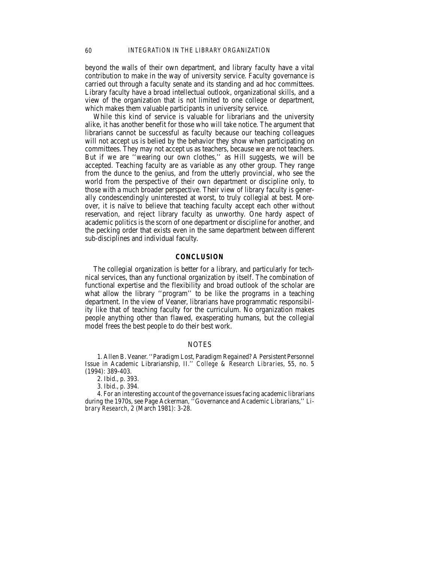beyond the walls of their own department, and library faculty have a vital contribution to make in the way of university service. Faculty governance is carried out through a faculty senate and its standing and ad hoc committees. Library faculty have a broad intellectual outlook, organizational skills, and a view of the organization that is not limited to one college or department, which makes them valuable participants in university service.

While this kind of service is valuable for librarians and the university alike, it has another benefit for those who will take notice. The argument that librarians cannot be successful as faculty because our teaching colleagues will not accept us is belied by the behavior they show when participating on committees. They may not accept us as teachers, because we are not teachers. But if we are "wearing our own clothes," as Hill suggests, we will be accepted. Teaching faculty are as variable as any other group. They range from the dunce to the genius, and from the utterly provincial, who see the world from the perspective of their own department or discipline only, to those with a much broader perspective. Their view of library faculty is generally condescendingly uninterested at worst, to truly collegial at best. Moreover, it is naïve to believe that teaching faculty accept each other without reservation, and reject library faculty as unworthy. One hardy aspect of academic politics is the scorn of one department or discipline for another, and the pecking order that exists even in the same department between different sub-disciplines and individual faculty.

### *CONCLUSION*

The collegial organization is better for a library, and particularly for technical services, than any functional organization by itself. The combination of functional expertise and the flexibility and broad outlook of the scholar are what allow the library ''program'' to be like the programs in a teaching department. In the view of Veaner, librarians have programmatic responsibility like that of teaching faculty for the curriculum. No organization makes people anything other than flawed, exasperating humans, but the collegial model frees the best people to do their best work.

#### NOTES

1. Allen B. Veaner. ''Paradigm Lost, Paradigm Regained? A Persistent Personnel Issue in Academic Librarianship, II.'' *College & Research Libraries*, 55, no. 5 (1994): 389-403.

2. Ibid., p. 393.

3. Ibid., p. 394.

4. For an interesting account of the governance issues facing academic librarians during the 1970s, see Page Ackerman, ''Governance and Academic Librarians,'' *Library Research*, 2 (March 1981): 3-28.